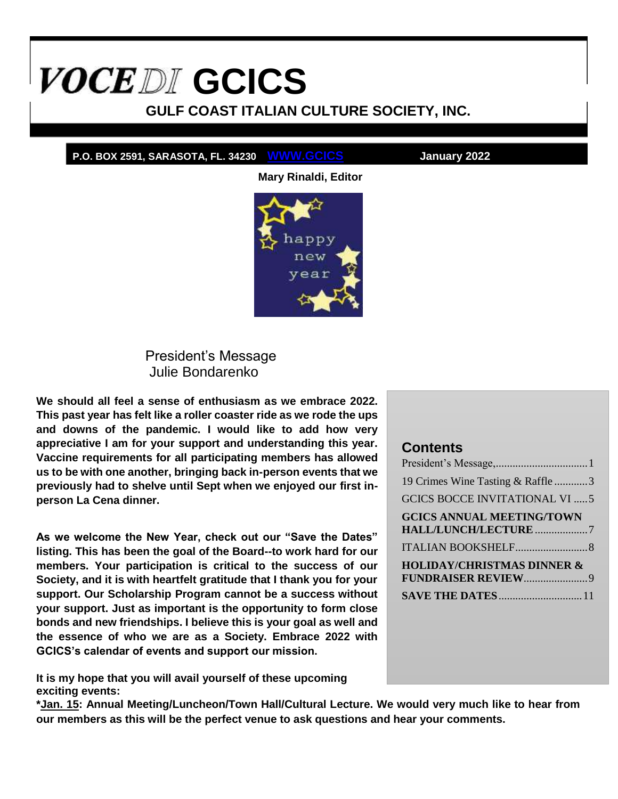# <span id="page-0-1"></span>**VOCEDI** GCICS

**GULF COAST ITALIAN CULTURE SOCIETY, INC.**

#### **P.O. BOX 2591, SARASOTA, FL. 34230 WWW.GCICS January 2022**

**Mary Rinaldi, Editor**



President's Message Julie Bondarenko

<span id="page-0-0"></span>**We should all feel a sense of enthusiasm as we embrace 2022. This past year has felt like a roller coaster ride as we rode the ups and downs of the pandemic. I would like to add how very appreciative I am for your support and understanding this year. Vaccine requirements for all participating members has allowed us to be with one another, bringing back in-person events that we previously had to shelve until Sept when we enjoyed our first inperson La Cena dinner.**

**As we welcome the New Year, check out our "Save the Dates" listing. This has been the goal of the Board--to work hard for our members. Your participation is critical to the success of our Society, and it is with heartfelt gratitude that I thank you for your support. Our Scholarship Program cannot be a success without your support. Just as important is the opportunity to form close bonds and new friendships. I believe this is your goal as well and the essence of who we are as a Society. Embrace 2022 with GCICS's calendar of events and support our mission.**

**It is my hope that you will avail yourself of these upcoming exciting events:**

**\*Jan. 15: Annual Meeting/Luncheon/Town Hall/Cultural Lecture. We would very much like to hear from our members as this will be the perfect venue to ask questions and hear your comments.**

#### **Contents**

| 19 Crimes Wine Tasting & Raffle3                        |  |
|---------------------------------------------------------|--|
| <b>GCICS BOCCE INVITATIONAL VI  5</b>                   |  |
| <b>GCICS ANNUAL MEETING/TOWN</b><br>HALL/LUNCH/LECTURE7 |  |
|                                                         |  |
| <b>HOLIDAY/CHRISTMAS DINNER &amp;</b>                   |  |
|                                                         |  |
|                                                         |  |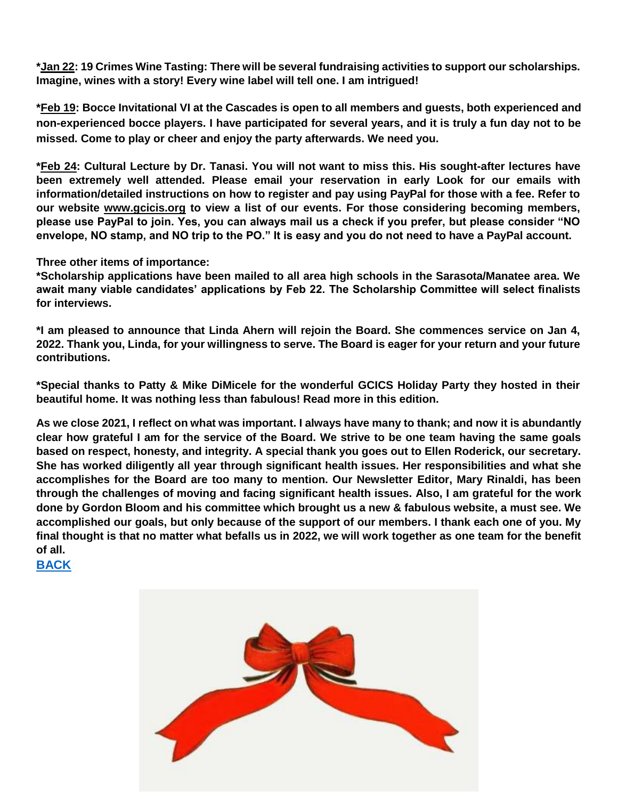**\*Jan 22: 19 Crimes Wine Tasting: There will be several fundraising activities to support our scholarships. Imagine, wines with a story! Every wine label will tell one. I am intrigued!**

**\*Feb 19: Bocce Invitational VI at the Cascades is open to all members and guests, both experienced and non-experienced bocce players. I have participated for several years, and it is truly a fun day not to be missed. Come to play or cheer and enjoy the party afterwards. We need you.**

**\*Feb 24: Cultural Lecture by Dr. Tanasi. You will not want to miss this. His sought-after lectures have been extremely well attended. Please email your reservation in early Look for our emails with information/detailed instructions on how to register and pay using PayPal for those with a fee. Refer to our website www.gcicis.org to view a list of our events. For those considering becoming members, please use PayPal to join. Yes, you can always mail us a check if you prefer, but please consider "NO envelope, NO stamp, and NO trip to the PO." It is easy and you do not need to have a PayPal account.**

**Three other items of importance:**

**\*Scholarship applications have been mailed to all area high schools in the Sarasota/Manatee area. We await many viable candidates' applications by Feb 22. The Scholarship Committee will select finalists for interviews.**

**\*I am pleased to announce that Linda Ahern will rejoin the Board. She commences service on Jan 4, 2022. Thank you, Linda, for your willingness to serve. The Board is eager for your return and your future contributions.**

**\*Special thanks to Patty & Mike DiMicele for the wonderful GCICS Holiday Party they hosted in their beautiful home. It was nothing less than fabulous! Read more in this edition.**

**As we close 2021, I reflect on what was important. I always have many to thank; and now it is abundantly clear how grateful I am for the service of the Board. We strive to be one team having the same goals based on respect, honesty, and integrity. A special thank you goes out to Ellen Roderick, our secretary. She has worked diligently all year through significant health issues. Her responsibilities and what she accomplishes for the Board are too many to mention. Our Newsletter Editor, Mary Rinaldi, has been through the challenges of moving and facing significant health issues. Also, I am grateful for the work done by Gordon Bloom and his committee which brought us a new & fabulous website, a must see. We accomplished our goals, but only because of the support of our members. I thank each one of you. My final thought is that no matter what befalls us in 2022, we will work together as one team for the benefit of all.**

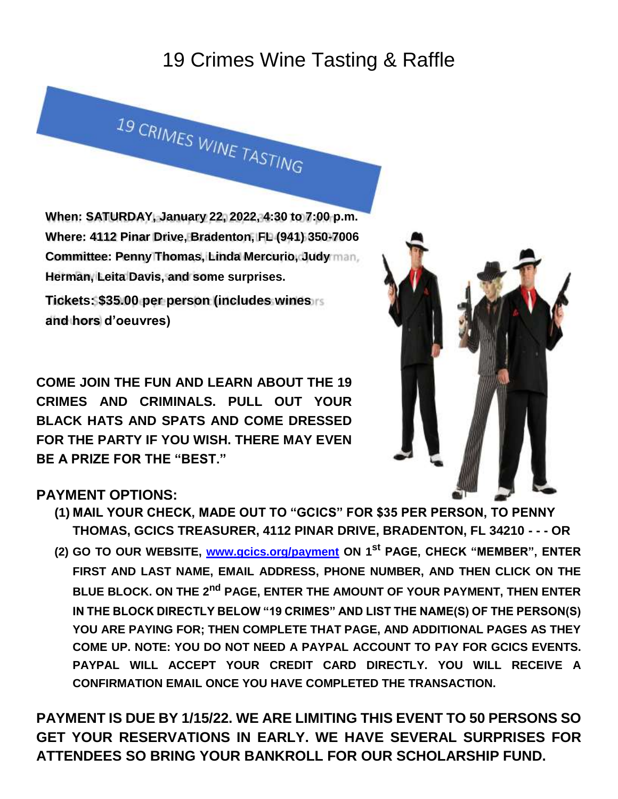# 19 Crimes Wine Tasting & Raffle

**When: SATURDAY, January 22, 2022, 4:30 to 7:00 p.m. Where: 4112 Pinar Drive, Bradenton, FL (941) 350-7006 Committee: Penny Thomas, Linda Mercurio, Judy Herman, Leita Davis, and some surprises.**

<span id="page-2-0"></span>19 CRIMES WINE TASTING

**Tickets: \$35.00 per person (includes wines and hors d'oeuvres)**

**COME JOIN THE FUN AND LEARN ABOUT THE 19 CRIMES AND CRIMINALS. PULL OUT YOUR BLACK HATS AND SPATS AND COME DRESSED FOR THE PARTY IF YOU WISH. THERE MAY EVEN BE A PRIZE FOR THE "BEST."**



### **PAYMENT OPTIONS:**

- **(1) MAIL YOUR CHECK, MADE OUT TO "GCICS" FOR \$35 PER PERSON, TO PENNY THOMAS, GCICS TREASURER, 4112 PINAR DRIVE, BRADENTON, FL 34210 - - - OR**
- **(2) GO TO OUR WEBSITE, www.gcics.org/payment ON 1st PAGE, CHECK "MEMBER", ENTER FIRST AND LAST NAME, EMAIL ADDRESS, PHONE NUMBER, AND THEN CLICK ON THE BLUE BLOCK. ON THE 2nd PAGE, ENTER THE AMOUNT OF YOUR PAYMENT, THEN ENTER IN THE BLOCK DIRECTLY BELOW "19 CRIMES" AND LIST THE NAME(S) OF THE PERSON(S) YOU ARE PAYING FOR; THEN COMPLETE THAT PAGE, AND ADDITIONAL PAGES AS THEY COME UP. NOTE: YOU DO NOT NEED A PAYPAL ACCOUNT TO PAY FOR GCICS EVENTS. PAYPAL WILL ACCEPT YOUR CREDIT CARD DIRECTLY. YOU WILL RECEIVE A CONFIRMATION EMAIL ONCE YOU HAVE COMPLETED THE TRANSACTION.**

**PAYMENT IS DUE BY 1/15/22. WE ARE LIMITING THIS EVENT TO 50 PERSONS SO GET YOUR RESERVATIONS IN EARLY. WE HAVE SEVERAL SURPRISES FOR ATTENDEES SO BRING YOUR BANKROLL FOR OUR SCHOLARSHIP FUND.**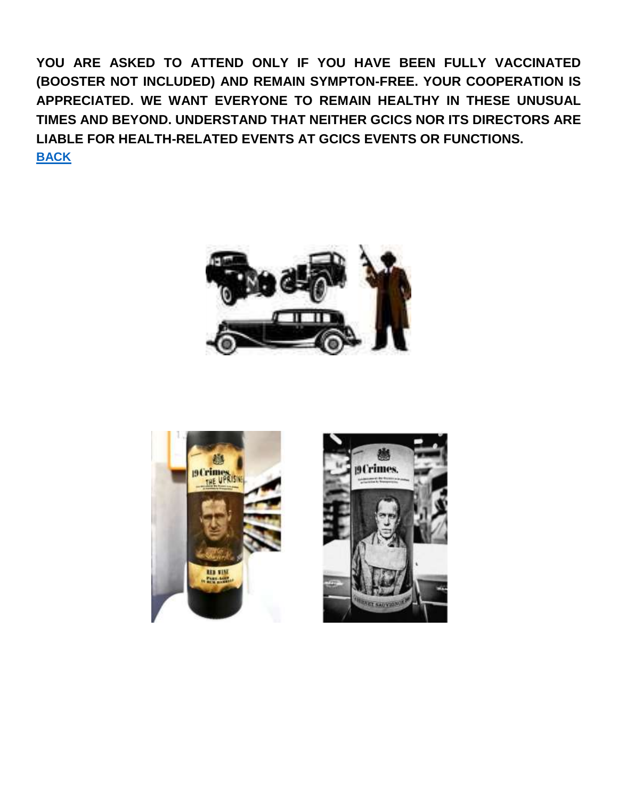**YOU ARE ASKED TO ATTEND ONLY IF YOU HAVE BEEN FULLY VACCINATED (BOOSTER NOT INCLUDED) AND REMAIN SYMPTON-FREE. YOUR COOPERATION IS APPRECIATED. WE WANT EVERYONE TO REMAIN HEALTHY IN THESE UNUSUAL TIMES AND BEYOND. UNDERSTAND THAT NEITHER GCICS NOR ITS DIRECTORS ARE LIABLE FOR HEALTH-RELATED EVENTS AT GCICS EVENTS OR FUNCTIONS. [BACK](#page-0-1)**





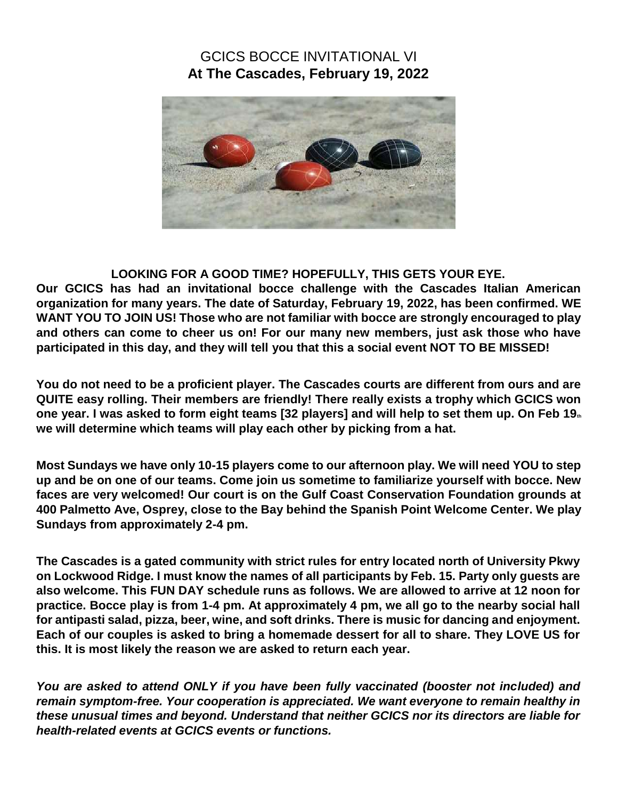#### GCICS BOCCE INVITATIONAL VI **At The Cascades, February 19, 2022**

<span id="page-4-0"></span>

#### **LOOKING FOR A GOOD TIME? HOPEFULLY, THIS GETS YOUR EYE.**

**Our GCICS has had an invitational bocce challenge with the Cascades Italian American organization for many years. The date of Saturday, February 19, 2022, has been confirmed. WE WANT YOU TO JOIN US! Those who are not familiar with bocce are strongly encouraged to play and others can come to cheer us on! For our many new members, just ask those who have participated in this day, and they will tell you that this a social event NOT TO BE MISSED!**

**You do not need to be a proficient player. The Cascades courts are different from ours and are QUITE easy rolling. Their members are friendly! There really exists a trophy which GCICS won one year. I was asked to form eight teams [32 players] and will help to set them up. On Feb 19th we will determine which teams will play each other by picking from a hat.**

**Most Sundays we have only 10-15 players come to our afternoon play. We will need YOU to step up and be on one of our teams. Come join us sometime to familiarize yourself with bocce. New faces are very welcomed! Our court is on the Gulf Coast Conservation Foundation grounds at 400 Palmetto Ave, Osprey, close to the Bay behind the Spanish Point Welcome Center. We play Sundays from approximately 2-4 pm.**

**The Cascades is a gated community with strict rules for entry located north of University Pkwy on Lockwood Ridge. I must know the names of all participants by Feb. 15. Party only guests are also welcome. This FUN DAY schedule runs as follows. We are allowed to arrive at 12 noon for practice. Bocce play is from 1-4 pm. At approximately 4 pm, we all go to the nearby social hall for antipasti salad, pizza, beer, wine, and soft drinks. There is music for dancing and enjoyment. Each of our couples is asked to bring a homemade dessert for all to share. They LOVE US for this. It is most likely the reason we are asked to return each year.**

*You are asked to attend ONLY if you have been fully vaccinated (booster not included) and remain symptom-free. Your cooperation is appreciated. We want everyone to remain healthy in these unusual times and beyond. Understand that neither GCICS nor its directors are liable for health-related events at GCICS events or functions.*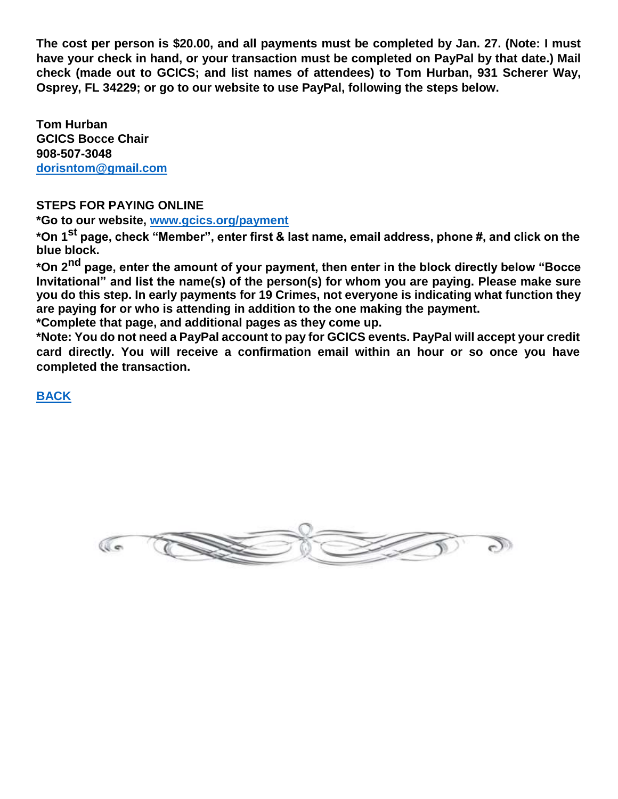**The cost per person is \$20.00, and all payments must be completed by Jan. 27. (Note: I must have your check in hand, or your transaction must be completed on PayPal by that date.) Mail check (made out to GCICS; and list names of attendees) to Tom Hurban, 931 Scherer Way, Osprey, FL 34229; or go to our website to use PayPal, following the steps below.**

**Tom Hurban GCICS Bocce Chair 908-507-3048 dorisntom@gmail.com**

#### **STEPS FOR PAYING ONLINE**

**\*Go to our website, www.gcics.org/payment**

**\*On 1st page, check "Member", enter first & last name, email address, phone #, and click on the blue block.**

**\*On 2nd page, enter the amount of your payment, then enter in the block directly below "Bocce Invitational" and list the name(s) of the person(s) for whom you are paying. Please make sure you do this step. In early payments for 19 Crimes, not everyone is indicating what function they are paying for or who is attending in addition to the one making the payment.**

**\*Complete that page, and additional pages as they come up.**

**\*Note: You do not need a PayPal account to pay for GCICS events. PayPal will accept your credit card directly. You will receive a confirmation email within an hour or so once you have completed the transaction.**

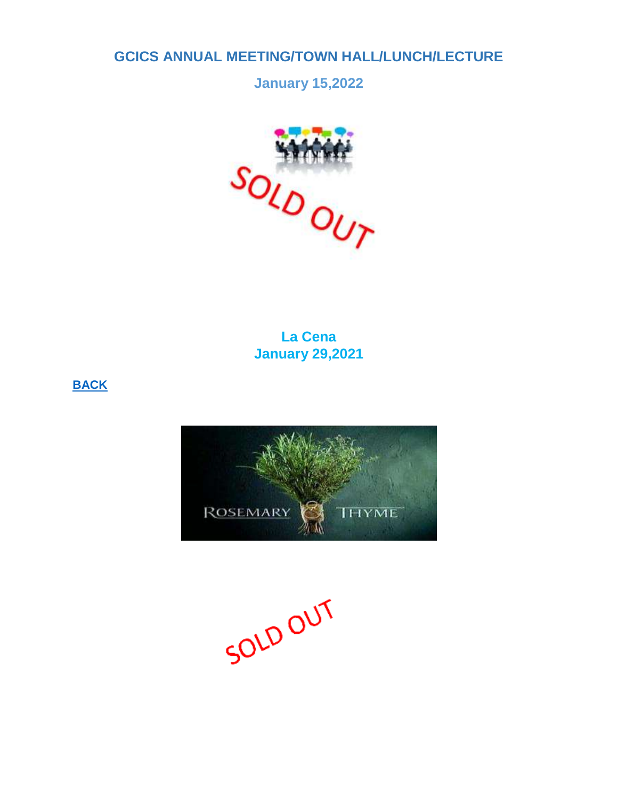#### <span id="page-6-0"></span>**GCICS ANNUAL MEETING/TOWN HALL/LUNCH/LECTURE**

**January 15,2022**



**La Cena January 29,2021**



SOLD OUT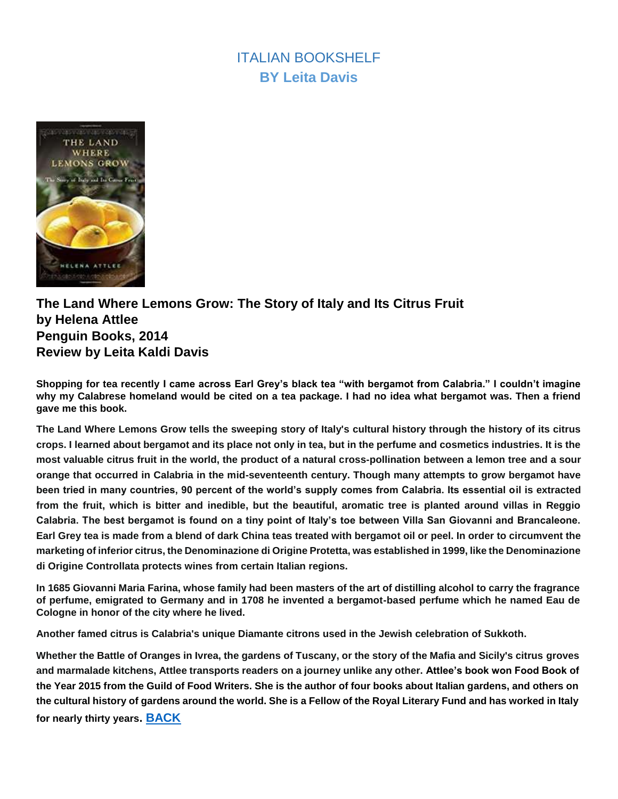# **ITALIAN BOOKSHELF BY Leita Davis**

<span id="page-7-0"></span>

#### **The Land Where Lemons Grow: The Story of Italy and Its Citrus Fruit by Helena Attlee Penguin Books, 2014 Review by Leita Kaldi Davis**

**Shopping for tea recently I came across Earl Grey's black tea "with bergamot from Calabria." I couldn't imagine why my Calabrese homeland would be cited on a tea package. I had no idea what bergamot was. Then a friend gave me this book.**

**The Land Where Lemons Grow tells the sweeping story of Italy's cultural history through the history of its citrus crops. I learned about bergamot and its place not only in tea, but in the perfume and cosmetics industries. It is the most valuable citrus fruit in the world, the product of a natural cross-pollination between a lemon tree and a sour orange that occurred in Calabria in the mid-seventeenth century. Though many attempts to grow bergamot have been tried in many countries, 90 percent of the world's supply comes from Calabria. Its essential oil is extracted from the fruit, which is bitter and inedible, but the beautiful, aromatic tree is planted around villas in Reggio Calabria. The best bergamot is found on a tiny point of Italy's toe between Villa San Giovanni and Brancaleone. Earl Grey tea is made from a blend of dark China teas treated with bergamot oil or peel. In order to circumvent the marketing of inferior citrus, the Denominazione di Origine Protetta, was established in 1999, like the Denominazione di Origine Controllata protects wines from certain Italian regions.**

**In 1685 Giovanni Maria Farina, whose family had been masters of the art of distilling alcohol to carry the fragrance of perfume, emigrated to Germany and in 1708 he invented a bergamot-based perfume which he named Eau de Cologne in honor of the city where he lived.**

**Another famed citrus is Calabria's unique Diamante citrons used in the Jewish celebration of Sukkoth.**

**Whether the Battle of Oranges in Ivrea, the gardens of Tuscany, or the story of the Mafia and Sicily's citrus groves and marmalade kitchens, Attlee transports readers on a journey unlike any other. Attlee's book won Food Book of the Year 2015 from the Guild of Food Writers. She is the author of four books about Italian gardens, and others on the cultural history of gardens around the world. She is a Fellow of the Royal Literary Fund and has worked in Italy for nearly thirty years. [BACK](#page-0-1)**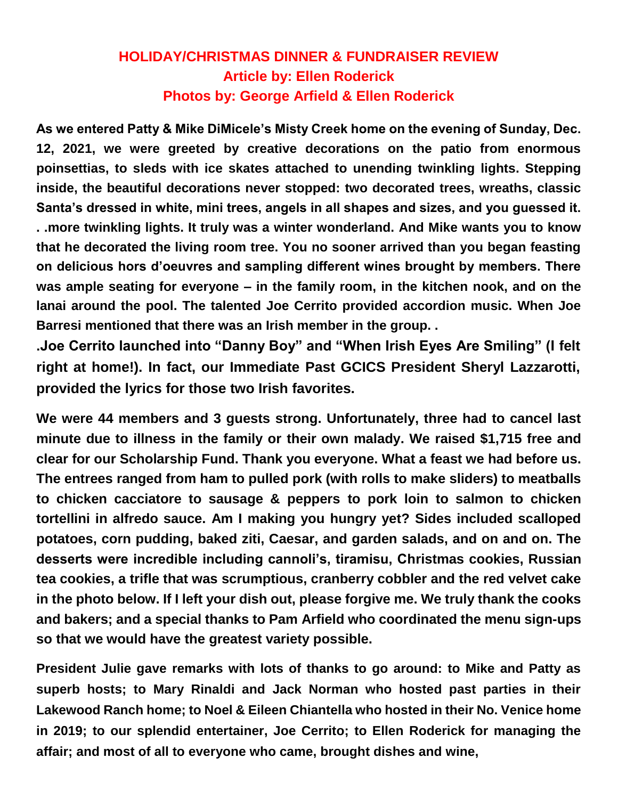# **HOLIDAY/CHRISTMAS DINNER & FUNDRAISER REVIEW Article by: Ellen Roderick Photos by: George Arfield & Ellen Roderick**

<span id="page-8-0"></span>**As we entered Patty & Mike DiMicele's Misty Creek home on the evening of Sunday, Dec. 12, 2021, we were greeted by creative decorations on the patio from enormous poinsettias, to sleds with ice skates attached to unending twinkling lights. Stepping inside, the beautiful decorations never stopped: two decorated trees, wreaths, classic Santa's dressed in white, mini trees, angels in all shapes and sizes, and you guessed it. . .more twinkling lights. It truly was a winter wonderland. And Mike wants you to know that he decorated the living room tree. You no sooner arrived than you began feasting on delicious hors d'oeuvres and sampling different wines brought by members. There was ample seating for everyone – in the family room, in the kitchen nook, and on the lanai around the pool. The talented Joe Cerrito provided accordion music. When Joe Barresi mentioned that there was an Irish member in the group. .**

**.Joe Cerrito launched into "Danny Boy" and "When Irish Eyes Are Smiling" (I felt right at home!). In fact, our Immediate Past GCICS President Sheryl Lazzarotti, provided the lyrics for those two Irish favorites.**

**We were 44 members and 3 guests strong. Unfortunately, three had to cancel last minute due to illness in the family or their own malady. We raised \$1,715 free and clear for our Scholarship Fund. Thank you everyone. What a feast we had before us. The entrees ranged from ham to pulled pork (with rolls to make sliders) to meatballs to chicken cacciatore to sausage & peppers to pork loin to salmon to chicken tortellini in alfredo sauce. Am I making you hungry yet? Sides included scalloped potatoes, corn pudding, baked ziti, Caesar, and garden salads, and on and on. The desserts were incredible including cannoli's, tiramisu, Christmas cookies, Russian tea cookies, a trifle that was scrumptious, cranberry cobbler and the red velvet cake in the photo below. If I left your dish out, please forgive me. We truly thank the cooks and bakers; and a special thanks to Pam Arfield who coordinated the menu sign-ups so that we would have the greatest variety possible.**

**President Julie gave remarks with lots of thanks to go around: to Mike and Patty as superb hosts; to Mary Rinaldi and Jack Norman who hosted past parties in their Lakewood Ranch home; to Noel & Eileen Chiantella who hosted in their No. Venice home in 2019; to our splendid entertainer, Joe Cerrito; to Ellen Roderick for managing the affair; and most of all to everyone who came, brought dishes and wine,**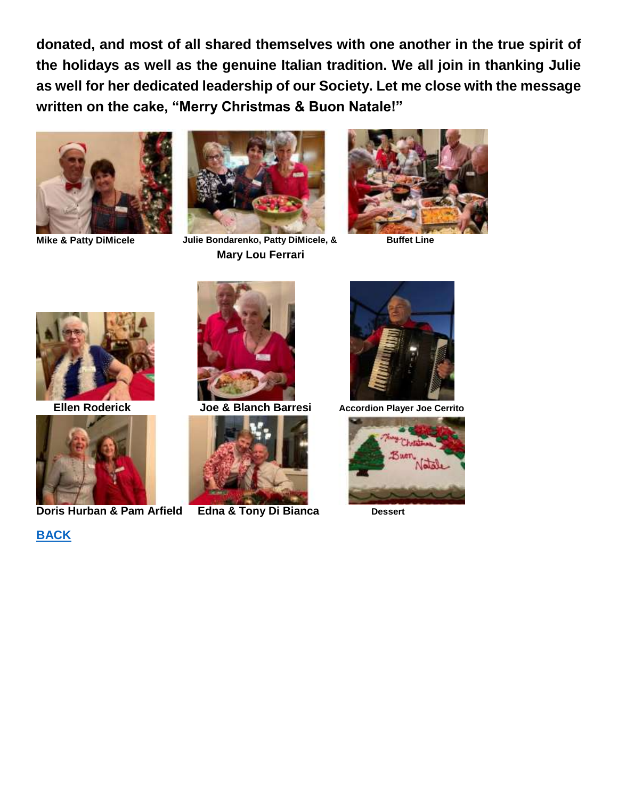**donated, and most of all shared themselves with one another in the true spirit of the holidays as well as the genuine Italian tradition. We all join in thanking Julie as well for her dedicated leadership of our Society. Let me close with the message written on the cake, "Merry Christmas & Buon Natale!"**





**Mike & Patty DiMicele Julie Bondarenko, Patty DiMicele, & Mary Lou Ferrari**



**Buffet Line**





**Doris Hurban & Pam Arfield Edna & Tony Di Bianca Dessert** 









**Ellen Roderick Joe & Blanch Barresi Accordion Player Joe Cerrito**

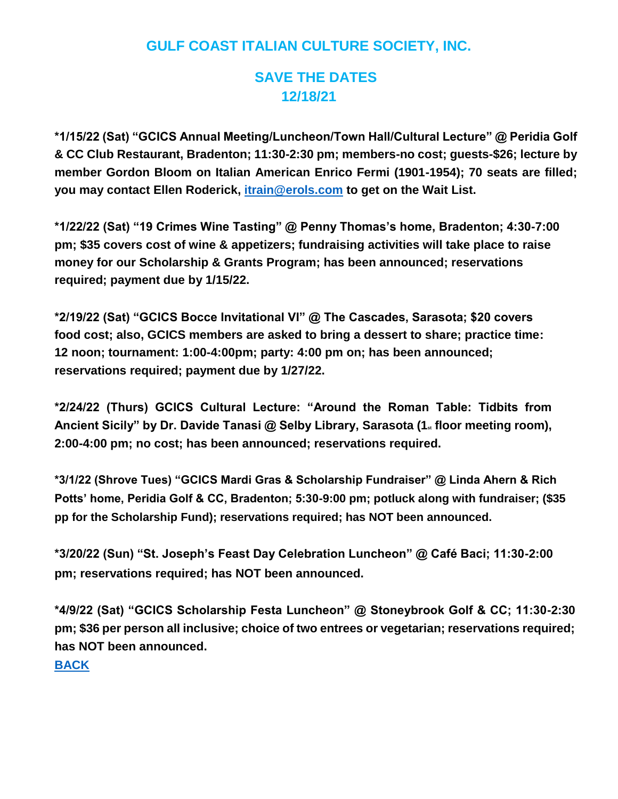# **GULF COAST ITALIAN CULTURE SOCIETY, INC.**

## **SAVE THE DATES 12/18/21**

<span id="page-10-0"></span>**\*1/15/22 (Sat) "GCICS Annual Meeting/Luncheon/Town Hall/Cultural Lecture" @ Peridia Golf & CC Club Restaurant, Bradenton; 11:30-2:30 pm; members-no cost; guests-\$26; lecture by member Gordon Bloom on Italian American Enrico Fermi (1901-1954); 70 seats are filled; you may contact Ellen Roderick, itrain@erols.com to get on the Wait List.**

**\*1/22/22 (Sat) "19 Crimes Wine Tasting" @ Penny Thomas's home, Bradenton; 4:30-7:00 pm; \$35 covers cost of wine & appetizers; fundraising activities will take place to raise money for our Scholarship & Grants Program; has been announced; reservations required; payment due by 1/15/22.**

**\*2/19/22 (Sat) "GCICS Bocce Invitational VI" @ The Cascades, Sarasota; \$20 covers food cost; also, GCICS members are asked to bring a dessert to share; practice time: 12 noon; tournament: 1:00-4:00pm; party: 4:00 pm on; has been announced; reservations required; payment due by 1/27/22.**

**\*2/24/22 (Thurs) GCICS Cultural Lecture: "Around the Roman Table: Tidbits from**  Ancient Sicily" by Dr. Davide Tanasi @ Selby Library, Sarasota (1<sub><sup>st</sup></sub> floor meeting room), **2:00-4:00 pm; no cost; has been announced; reservations required.**

**\*3/1/22 (Shrove Tues) "GCICS Mardi Gras & Scholarship Fundraiser" @ Linda Ahern & Rich Potts' home, Peridia Golf & CC, Bradenton; 5:30-9:00 pm; potluck along with fundraiser; (\$35 pp for the Scholarship Fund); reservations required; has NOT been announced.**

**\*3/20/22 (Sun) "St. Joseph's Feast Day Celebration Luncheon" @ Café Baci; 11:30-2:00 pm; reservations required; has NOT been announced.**

**\*4/9/22 (Sat) "GCICS Scholarship Festa Luncheon" @ Stoneybrook Golf & CC; 11:30-2:30 pm; \$36 per person all inclusive; choice of two entrees or vegetarian; reservations required; has NOT been announced.**